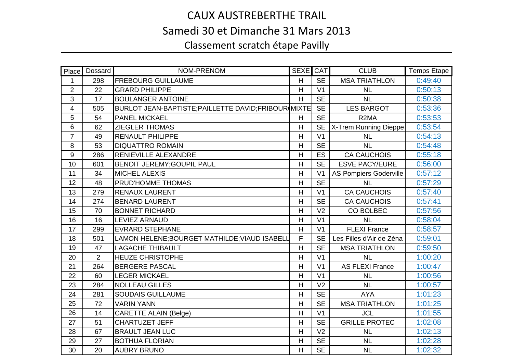## CAUX AUSTREBERTHE TRAIL Samedi 30 et Dimanche 31 Mars 2013Classement scratch étape Pavilly

| Place          | Dossard        | NOM-PRENOM                                           | <b>SEXE CAT</b> |                | <b>CLUB</b>                   | <b>Temps Etape</b> |
|----------------|----------------|------------------------------------------------------|-----------------|----------------|-------------------------------|--------------------|
| 1              | 298            | <b>FREBOURG GUILLAUME</b>                            | H               | <b>SE</b>      | <b>MSA TRIATHLON</b>          | 0:49:40            |
| $\overline{2}$ | 22             | <b>GRARD PHILIPPE</b>                                | H               | V <sub>1</sub> | <b>NL</b>                     | 0:50:13            |
| 3              | 17             | <b>BOULANGER ANTOINE</b>                             | H               | <b>SE</b>      | <b>NL</b>                     | 0:50:38            |
| 4              | 505            | BURLOT JEAN-BAPTISTE; PAILLETTE DAVID; FRIBOUR MIXTE |                 | <b>SE</b>      | <b>LES BARGOT</b>             | 0:53:36            |
| 5              | 54             | <b>PANEL MICKAEL</b>                                 | H               | <b>SE</b>      | R <sub>2</sub> MA             | 0:53:53            |
| 6              | 62             | <b>ZIEGLER THOMAS</b>                                | H               | <b>SE</b>      | X-Trem Running Dieppe         | 0:53:54            |
| $\overline{7}$ | 49             | <b>RENAULT PHILIPPE</b>                              | $\overline{H}$  | V <sub>1</sub> | <b>NL</b>                     | 0:54:13            |
| $\,8\,$        | 53             | <b>DIQUATTRO ROMAIN</b>                              | H               | <b>SE</b>      | <b>NL</b>                     | 0:54:48            |
| 9              | 286            | <b>RENIEVILLE ALEXANDRE</b>                          | H               | <b>ES</b>      | <b>CA CAUCHOIS</b>            | 0:55:18            |
| 10             | 601            | <b>BENOIT JEREMY; GOUPIL PAUL</b>                    | H               | <b>SE</b>      | <b>ESVE PACY/EURE</b>         | 0:56:00            |
| 11             | 34             | <b>MICHEL ALEXIS</b>                                 | H               | V <sub>1</sub> | <b>AS Pompiers Goderville</b> | 0:57:12            |
| 12             | 48             | PRUD'HOMME THOMAS                                    | H               | <b>SE</b>      | <b>NL</b>                     | 0:57:29            |
| 13             | 279            | <b>RENAUX LAURENT</b>                                | H               | V <sub>1</sub> | <b>CA CAUCHOIS</b>            | 0:57:40            |
| 14             | 274            | <b>BENARD LAURENT</b>                                | H               | <b>SE</b>      | <b>CA CAUCHOIS</b>            | 0:57:41            |
| 15             | 70             | <b>BONNET RICHARD</b>                                | H               | V <sub>2</sub> | CO BOLBEC                     | 0:57:56            |
| 16             | 16             | <b>LEVIEZ ARNAUD</b>                                 | H               | V <sub>1</sub> | <b>NL</b>                     | 0:58:04            |
| 17             | 299            | <b>EVRARD STEPHANE</b>                               | H               | V <sub>1</sub> | <b>FLEXI France</b>           | 0:58:57            |
| 18             | 501            | LAMON HELENE; BOURGET MATHILDE; VIAUD ISABELL        | F               | <b>SE</b>      | Les Filles d'Air de Zéna      | 0:59:01            |
| 19             | 47             | <b>LAGACHE THIBAULT</b>                              | H               | <b>SE</b>      | <b>MSA TRIATHLON</b>          | 0:59:50            |
| 20             | $\overline{2}$ | <b>HEUZE CHRISTOPHE</b>                              | H               | V <sub>1</sub> | NL                            | 1:00:20            |
| 21             | 264            | <b>BERGERE PASCAL</b>                                | H               | V <sub>1</sub> | <b>AS FLEXI France</b>        | 1:00:47            |
| 22             | 60             | <b>LEGER MICKAEL</b>                                 | H               | V <sub>1</sub> | <b>NL</b>                     | 1:00:56            |
| 23             | 284            | <b>NOLLEAU GILLES</b>                                | $\overline{H}$  | V <sub>2</sub> | <b>NL</b>                     | 1:00:57            |
| 24             | 281            | <b>SOUDAIS GUILLAUME</b>                             | H               | <b>SE</b>      | <b>AYA</b>                    | 1:01:23            |
| 25             | 72             | <b>VARIN YANN</b>                                    | H               | <b>SE</b>      | <b>MSA TRIATHLON</b>          | 1:01:25            |
| 26             | 14             | <b>CARETTE ALAIN (Belge)</b>                         | H               | V <sub>1</sub> | <b>JCL</b>                    | 1:01:55            |
| 27             | 51             | CHARTUZET JEFF                                       | H               | <b>SE</b>      | <b>GRILLE PROTEC</b>          | 1:02:08            |
| 28             | 67             | <b>BRAULT JEAN LUC</b>                               | $\overline{H}$  | V <sub>2</sub> | <b>NL</b>                     | 1:02:13            |
| 29             | 27             | <b>BOTHUA FLORIAN</b>                                | H               | <b>SE</b>      | <b>NL</b>                     | 1:02:28            |
| 30             | 20             | <b>AUBRY BRUNO</b>                                   | H               | <b>SE</b>      | <b>NL</b>                     | 1:02:32            |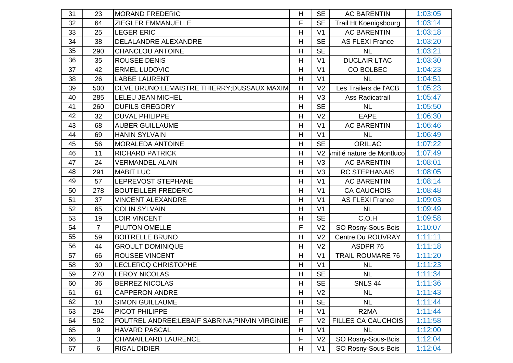| 31 | 23             | <b>MORAND FREDERIC</b>                         | H | <b>SE</b>      | <b>AC BARENTIN</b>        | 1:03:05 |
|----|----------------|------------------------------------------------|---|----------------|---------------------------|---------|
| 32 | 64             | <b>ZIEGLER EMMANUELLE</b>                      | F | <b>SE</b>      | Trail Ht Koenigsbourg     | 1:03:14 |
| 33 | 25             | <b>LEGER ERIC</b>                              | H | V <sub>1</sub> | <b>AC BARENTIN</b>        | 1:03:18 |
| 34 | 38             | DELALANDRE ALEXANDRE                           | H | <b>SE</b>      | <b>AS FLEXI France</b>    | 1:03:20 |
| 35 | 290            | <b>CHANCLOU ANTOINE</b>                        | H | <b>SE</b>      | <b>NL</b>                 | 1:03:21 |
| 36 | 35             | <b>ROUSEE DENIS</b>                            | H | V <sub>1</sub> | <b>DUCLAIR LTAC</b>       | 1:03:30 |
| 37 | 42             | <b>ERMEL LUDOVIC</b>                           | H | V <sub>1</sub> | CO BOLBEC                 | 1:04:23 |
| 38 | 26             | <b>LABBE LAURENT</b>                           | H | V <sub>1</sub> | <b>NL</b>                 | 1:04:51 |
| 39 | 500            | DEVE BRUNO;LEMAISTRE THIERRY;DUSSAUX MAXIM     | H | V <sub>2</sub> | Les Trailers de l'ACB     | 1:05:23 |
| 40 | 285            | LELEU JEAN MICHEL                              | H | V <sub>3</sub> | Ass Radicatrail           | 1:05:47 |
| 41 | 260            | <b>DUFILS GREGORY</b>                          | H | <b>SE</b>      | <b>NL</b>                 | 1:05:50 |
| 42 | 32             | <b>DUVAL PHILIPPE</b>                          | H | V <sub>2</sub> | <b>EAPE</b>               | 1:06:30 |
| 43 | 68             | <b>AUBER GUILLAUME</b>                         | H | V <sub>1</sub> | <b>AC BARENTIN</b>        | 1:06:46 |
| 44 | 69             | <b>HANIN SYLVAIN</b>                           | H | V <sub>1</sub> | <b>NL</b>                 | 1:06:49 |
| 45 | 56             | <b>MORALEDA ANTOINE</b>                        | H | <b>SE</b>      | ORIL.AC                   | 1:07:22 |
| 46 | 11             | <b>RICHARD PATRICK</b>                         | H | V <sub>2</sub> | mitié nature de Montluco  | 1:07:49 |
| 47 | 24             | <b>VERMANDEL ALAIN</b>                         | H | V <sub>3</sub> | <b>AC BARENTIN</b>        | 1:08:01 |
| 48 | 291            | <b>MABIT LUC</b>                               | H | V <sub>3</sub> | <b>RC STEPHANAIS</b>      | 1:08:05 |
| 49 | 57             | LEPREVOST STEPHANE                             | H | V <sub>1</sub> | <b>AC BARENTIN</b>        | 1:08:14 |
| 50 | 278            | <b>BOUTEILLER FREDERIC</b>                     | H | V <sub>1</sub> | <b>CA CAUCHOIS</b>        | 1:08:48 |
| 51 | 37             | <b>VINCENT ALEXANDRE</b>                       | H | V <sub>1</sub> | <b>AS FLEXI France</b>    | 1:09:03 |
| 52 | 65             | <b>COLIN SYLVAIN</b>                           | H | V <sub>1</sub> | <b>NL</b>                 | 1:09:49 |
| 53 | 19             | LOIR VINCENT                                   | H | <b>SE</b>      | C.O.H                     | 1:09:58 |
| 54 | $\overline{7}$ | <b>PLUTON OMELLE</b>                           | F | V <sub>2</sub> | SO Rosny-Sous-Bois        | 1:10:07 |
| 55 | 59             | <b>BOITRELLE BRUNO</b>                         | H | V <sub>2</sub> | Centre Du ROUVRAY         | 1:11:11 |
| 56 | 44             | <b>GROULT DOMINIQUE</b>                        | H | V <sub>2</sub> | ASDPR 76                  | 1:11:18 |
| 57 | 66             | <b>ROUSEE VINCENT</b>                          | H | V <sub>1</sub> | <b>TRAIL ROUMARE 76</b>   | 1:11:20 |
| 58 | 30             | <b>LECLERCQ CHRISTOPHE</b>                     | H | V <sub>1</sub> | <b>NL</b>                 | 1:11:23 |
| 59 | 270            | <b>LEROY NICOLAS</b>                           | H | <b>SE</b>      | <b>NL</b>                 | 1:11:34 |
| 60 | 36             | <b>BERREZ NICOLAS</b>                          | H | <b>SE</b>      | <b>SNLS 44</b>            | 1:11:36 |
| 61 | 61             | <b>CAPPERON ANDRE</b>                          | H | V <sub>2</sub> | <b>NL</b>                 | 1:11:43 |
| 62 | 10             | <b>SIMON GUILLAUME</b>                         | Н | <b>SE</b>      | <b>NL</b>                 | 1:11:44 |
| 63 | 294            | PICOT PHILIPPE                                 | H | V <sub>1</sub> | R <sub>2</sub> MA         | 1:11:44 |
| 64 | 502            | FOUTREL ANDREE;LEBAIF SABRINA;PINVIN VIRGINIE; | F | V <sub>2</sub> | <b>FILLES CA CAUCHOIS</b> | 1:11:58 |
| 65 | 9              | <b>HAVARD PASCAL</b>                           | H | V <sub>1</sub> | <b>NL</b>                 | 1:12:00 |
| 66 | 3              | <b>CHAMAILLARD LAURENCE</b>                    | F | V <sub>2</sub> | SO Rosny-Sous-Bois        | 1:12:04 |
| 67 | 6              | <b>RIGAL DIDIER</b>                            | H | V <sub>1</sub> | SO Rosny-Sous-Bois        | 1:12:04 |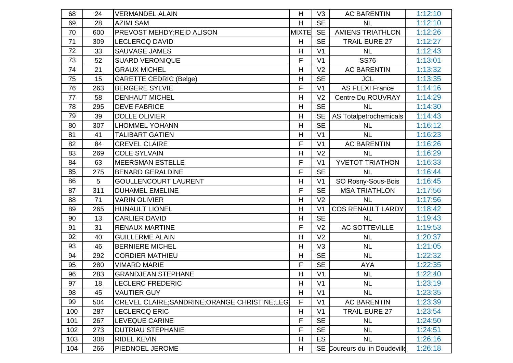| 68  | 24  | <b>VERMANDEL ALAIN</b>                         | H            | V <sub>3</sub> | <b>AC BARENTIN</b>            | 1:12:10 |
|-----|-----|------------------------------------------------|--------------|----------------|-------------------------------|---------|
| 69  | 28  | <b>AZIMI SAM</b>                               | H            | <b>SE</b>      | <b>NL</b>                     | 1:12:10 |
| 70  | 600 | <b>PREVOST MEHDY; REID ALISON</b>              | <b>MIXTE</b> | <b>SE</b>      | <b>AMIENS TRIATHLON</b>       | 1:12:26 |
| 71  | 309 | <b>LECLERCQ DAVID</b>                          | H            | <b>SE</b>      | <b>TRAIL EURE 27</b>          | 1:12:27 |
| 72  | 33  | <b>SAUVAGE JAMES</b>                           | H            | V <sub>1</sub> | <b>NL</b>                     | 1:12:43 |
| 73  | 52  | <b>SUARD VERONIQUE</b>                         | F            | V <sub>1</sub> | <b>SS76</b>                   | 1:13:01 |
| 74  | 21  | <b>GRAUX MICHEL</b>                            | H            | V <sub>2</sub> | <b>AC BARENTIN</b>            | 1:13:32 |
| 75  | 15  | <b>CARETTE CEDRIC (Belge)</b>                  | H            | <b>SE</b>      | <b>JCL</b>                    | 1:13:35 |
| 76  | 263 | <b>BERGERE SYLVIE</b>                          | $\mathsf{F}$ | V <sub>1</sub> | <b>AS FLEXI France</b>        | 1:14:16 |
| 77  | 58  | <b>DENHAUT MICHEL</b>                          | H            | V <sub>2</sub> | Centre Du ROUVRAY             | 1:14:29 |
| 78  | 295 | <b>DEVE FABRICE</b>                            | H            | <b>SE</b>      | <b>NL</b>                     | 1:14:30 |
| 79  | 39  | <b>DOLLE OLIVIER</b>                           | H            | <b>SE</b>      | <b>AS Totalpetrochemicals</b> | 1:14:43 |
| 80  | 307 | <b>LHOMMEL YOHANN</b>                          | H            | <b>SE</b>      | <b>NL</b>                     | 1:16:12 |
| 81  | 41  | <b>TALIBART GATIEN</b>                         | Н            | V <sub>1</sub> | <b>NL</b>                     | 1:16:23 |
| 82  | 84  | <b>CREVEL CLAIRE</b>                           | F            | V <sub>1</sub> | <b>AC BARENTIN</b>            | 1:16:26 |
| 83  | 269 | <b>COLE SYLVAIN</b>                            | H            | V <sub>2</sub> | <b>NL</b>                     | 1:16:29 |
| 84  | 63  | <b>MEERSMAN ESTELLE</b>                        | F            | V <sub>1</sub> | <b>YVETOT TRIATHON</b>        | 1:16:33 |
| 85  | 275 | <b>BENARD GERALDINE</b>                        | F            | <b>SE</b>      | <b>NL</b>                     | 1:16:44 |
| 86  | 5   | <b>GOULLENCOURT LAURENT</b>                    | H            | V <sub>1</sub> | SO Rosny-Sous-Bois            | 1:16:45 |
| 87  | 311 | <b>DUHAMEL EMELINE</b>                         | $\mathsf{F}$ | <b>SE</b>      | <b>MSA TRIATHLON</b>          | 1:17:56 |
| 88  | 71  | <b>VARIN OLIVIER</b>                           | H            | V <sub>2</sub> | <b>NL</b>                     | 1:17:56 |
| 89  | 265 | <b>HUNAULT LIONEL</b>                          | H            | V <sub>1</sub> | <b>COS RENAULT LARDY</b>      | 1:18:42 |
| 90  | 13  | <b>CARLIER DAVID</b>                           | Н            | <b>SE</b>      | <b>NL</b>                     | 1:19:43 |
| 91  | 31  | <b>RENAUX MARTINE</b>                          | F            | V <sub>2</sub> | <b>AC SOTTEVILLE</b>          | 1:19:53 |
| 92  | 40  | <b>GUILLERME ALAIN</b>                         | Н            | V <sub>2</sub> | <b>NL</b>                     | 1:20:37 |
| 93  | 46  | <b>BERNIERE MICHEL</b>                         | H            | V <sub>3</sub> | NL                            | 1:21:05 |
| 94  | 292 | <b>CORDIER MATHIEU</b>                         | H            | <b>SE</b>      | NL                            | 1:22:32 |
| 95  | 280 | <b>VIMARD MARIE</b>                            | F            | <b>SE</b>      | <b>AYA</b>                    | 1:22:35 |
| 96  | 283 | <b>GRANDJEAN STEPHANE</b>                      | H            | V <sub>1</sub> | <b>NL</b>                     | 1:22:40 |
| 97  | 18  | LECLERC FREDERIC                               | H            | V <sub>1</sub> | <b>NL</b>                     | 1:23:19 |
| 98  | 45  | <b>VAUTIER GUY</b>                             | H            | V <sub>1</sub> | <b>NL</b>                     | 1:23:35 |
| 99  | 504 | CREVEL CLAIRE; SANDRINE; ORANGE CHRISTINE; LEG | F            | V <sub>1</sub> | <b>AC BARENTIN</b>            | 1:23:39 |
| 100 | 287 | <b>LECLERCQ ERIC</b>                           | H            | V <sub>1</sub> | <b>TRAIL EURE 27</b>          | 1:23:54 |
| 101 | 267 | LEVEQUE CARINE                                 | F            | <b>SE</b>      | <b>NL</b>                     | 1:24:50 |
| 102 | 273 | <b>DUTRIAU STEPHANIE</b>                       | F            | <b>SE</b>      | <b>NL</b>                     | 1:24:51 |
| 103 | 308 | <b>RIDEL KEVIN</b>                             | Н            | ES             | <b>NL</b>                     | 1:26:16 |
| 104 | 266 | PIEDNOEL JEROME                                | H            |                | SE Coureurs du lin Doudeville | 1:26:18 |